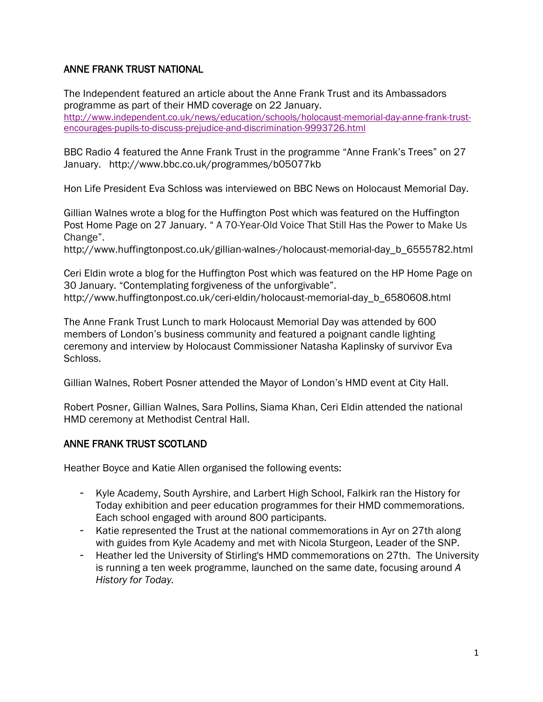#### ANNE FRANK TRUST NATIONAL

The Independent featured an article about the Anne Frank Trust and its Ambassadors programme as part of their HMD coverage on 22 January. [http://www.independent.co.uk/news/education/schools/holocaust-memorial-day-anne-frank-trust](http://www.independent.co.uk/news/education/schools/holocaust-memorial-day-anne-frank-trust-encourages-pupils-to-discuss-prejudice-and-discrimination-9993726.html)[encourages-pupils-to-discuss-prejudice-and-discrimination-9993726.html](http://www.independent.co.uk/news/education/schools/holocaust-memorial-day-anne-frank-trust-encourages-pupils-to-discuss-prejudice-and-discrimination-9993726.html)

BBC Radio 4 featured the Anne Frank Trust in the programme "Anne Frank's Trees" on 27 January. http://www.bbc.co.uk/programmes/b05077kb

Hon Life President Eva Schloss was interviewed on BBC News on Holocaust Memorial Day.

Gillian Walnes wrote a blog for the Huffington Post which was featured on the Huffington Post Home Page on 27 January. " A 70-Year-Old Voice That Still Has the Power to Make Us Change".

http://www.huffingtonpost.co.uk/gillian-walnes-/holocaust-memorial-day\_b\_6555782.html

Ceri Eldin wrote a blog for the Huffington Post which was featured on the HP Home Page on 30 January. "Contemplating forgiveness of the unforgivable". http://www.huffingtonpost.co.uk/ceri-eldin/holocaust-memorial-day\_b\_6580608.html

The Anne Frank Trust Lunch to mark Holocaust Memorial Day was attended by 600 members of London's business community and featured a poignant candle lighting ceremony and interview by Holocaust Commissioner Natasha Kaplinsky of survivor Eva Schloss.

Gillian Walnes, Robert Posner attended the Mayor of London's HMD event at City Hall.

Robert Posner, Gillian Walnes, Sara Pollins, Siama Khan, Ceri Eldin attended the national HMD ceremony at Methodist Central Hall.

#### ANNE FRANK TRUST SCOTLAND

Heather Boyce and Katie Allen organised the following events:

- Kyle Academy, South Ayrshire, and Larbert High School, Falkirk ran the History for Today exhibition and peer education programmes for their HMD commemorations. Each school engaged with around 800 participants.
- Katie represented the Trust at the national commemorations in Ayr on 27th along with guides from Kyle Academy and met with Nicola Sturgeon, Leader of the SNP.
- Heather led the University of Stirling's HMD commemorations on 27th. The University is running a ten week programme, launched on the same date, focusing around *A History for Today.*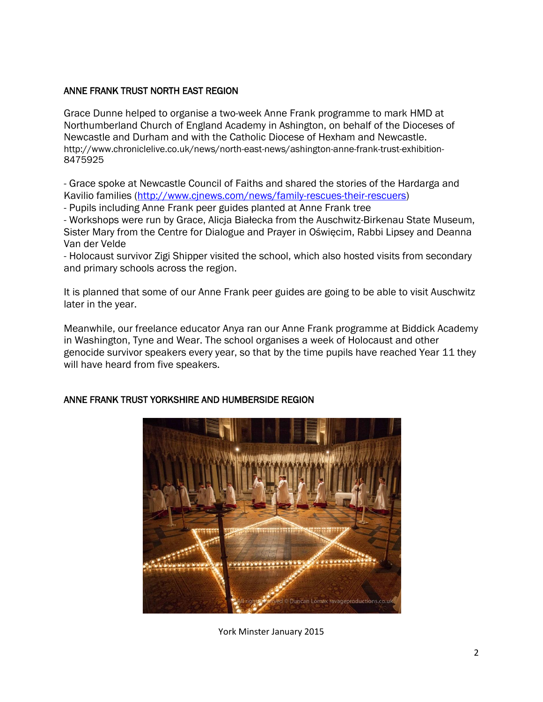#### ANNE FRANK TRUST NORTH EAST REGION

Grace Dunne helped to organise a two-week Anne Frank programme to mark HMD at Northumberland Church of England Academy in Ashington, on behalf of the Dioceses of Newcastle and Durham and with the Catholic Diocese of Hexham and Newcastle. http://www.chroniclelive.co.uk/news/north-east-news/ashington-anne-frank-trust-exhibition-8475925

- Grace spoke at Newcastle Council of Faiths and shared the stories of the Hardarga and Kavilio families [\(http://www.cjnews.com/news/family-rescues-their-rescuers\)](http://www.cjnews.com/news/family-rescues-their-rescuers)

- Pupils including Anne Frank peer guides planted at Anne Frank tree

- Workshops were run by Grace, Alicja Białecka from the Auschwitz-Birkenau State Museum, Sister Mary from the Centre for Dialogue and Prayer in Oświęcim, Rabbi Lipsey and Deanna Van der Velde

- Holocaust survivor Zigi Shipper visited the school, which also hosted visits from secondary and primary schools across the region.

It is planned that some of our Anne Frank peer guides are going to be able to visit Auschwitz later in the year.

Meanwhile, our freelance educator Anya ran our Anne Frank programme at Biddick Academy in Washington, Tyne and Wear. The school organises a week of Holocaust and other genocide survivor speakers every year, so that by the time pupils have reached Year 11 they will have heard from five speakers.



# ANNE FRANK TRUST YORKSHIRE AND HUMBERSIDE REGION

York Minster January 2015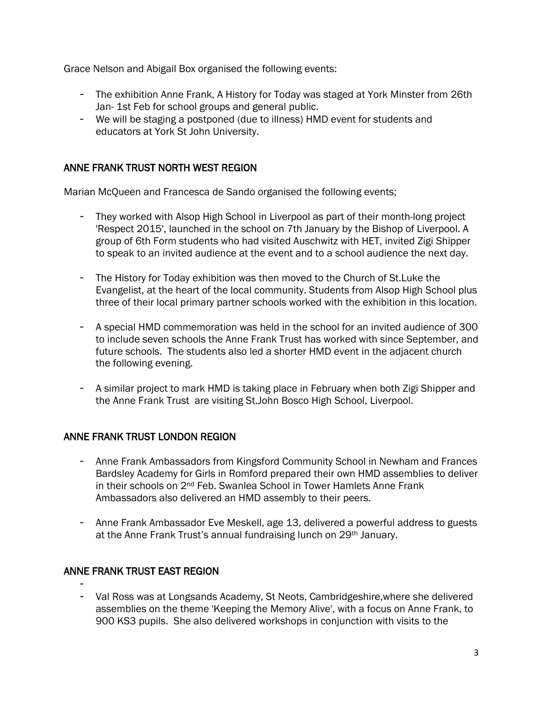Grace Nelson and Abigail Box organised the following events:

- The exhibition Anne Frank, A History for Today was staged at York Minster from 26th Jan- 1st Feb for school groups and general public.
- We will be staging a postponed (due to illness) HMD event for students and educators at York St John University.

# ANNE FRANK TRUST NORTH WEST REGION

Marian McQueen and Francesca de Sando organised the following events;

- They worked with Alsop High School in Liverpool as part of their month-long project 'Respect 2015', launched in the school on 7th January by the Bishop of Liverpool. A group of 6th Form students who had visited Auschwitz with HET, invited Zigi Shipper to speak to an invited audience at the event and to a school audience the next day.
- The History for Today exhibition was then moved to the Church of St.Luke the Evangelist, at the heart of the local community. Students from Alsop High School plus three of their local primary partner schools worked with the exhibition in this location.
- A special HMD commemoration was held in the school for an invited audience of 300 to include seven schools the Anne Frank Trust has worked with since September, and future schools. The students also led a shorter HMD event in the adjacent church the following evening.
- A similar project to mark HMD is taking place in February when both Zigi Shipper and the Anne Frank Trust are visiting St.John Bosco High School, Liverpool.

# ANNE FRANK TRUST LONDON REGION

- Anne Frank Ambassadors from Kingsford Community School in Newham and Frances Bardsley Academy for Girls in Romford prepared their own HMD assemblies to deliver in their schools on 2nd Feb. Swanlea School in Tower Hamlets Anne Frank Ambassadors also delivered an HMD assembly to their peers.
- Anne Frank Ambassador Eve Meskell, age 13, delivered a powerful address to guests at the Anne Frank Trust's annual fundraising lunch on 29th January.

# ANNE FRANK TRUST EAST REGION

-

- Val Ross was at Longsands Academy, St Neots, Cambridgeshire,where she delivered assemblies on the theme 'Keeping the Memory Alive', with a focus on Anne Frank, to 900 KS3 pupils. She also delivered workshops in conjunction with visits to the